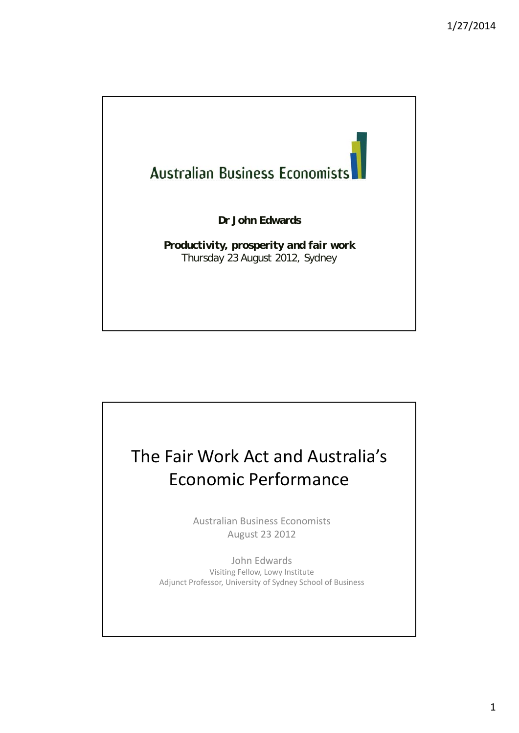

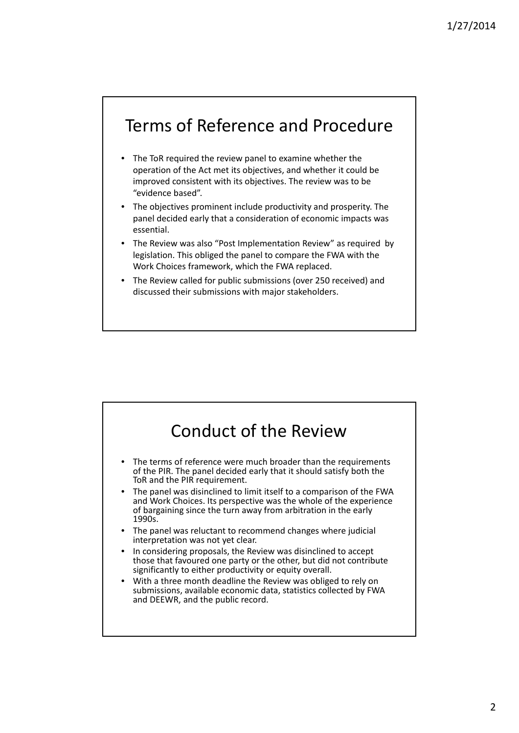#### Terms of Reference and Procedure

- The ToR required the review panel to examine whether the operation of the Act met its objectives, and whether it could be improved consistent with its objectives. The review was to be "evidence based".
- The objectives prominent include productivity and prosperity. The panel decided early that a consideration of economic impacts was essential.
- The Review was also "Post Implementation Review" as required by legislation. This obliged the panel to compare the FWA with the Work Choices framework, which the FWA replaced.
- The Review called for public submissions (over 250 received) and discussed their submissions with major stakeholders.

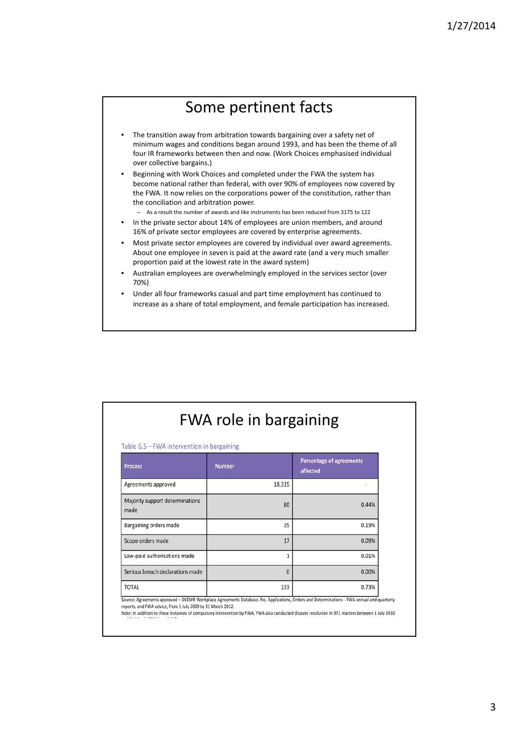#### Some pertinent facts

- The transition away from arbitration towards bargaining over a safety net of minimum wages and conditions began around 1993, and has been the theme of all four IR frameworks between then and now. (Work Choices emphasised individual over collective bargains.)
- Beginning with Work Choices and completed under the FWA the system has become national rather than federal, with over 90% of employees now covered by the FWA. It now relies on the corporations power of the constitution, rather than the conciliation and arbitration power.
	- As a result the number of awards and like instruments has been reduced from 3175 to 122
- In the private sector about 14% of employees are union members, and around 16% of private sector employees are covered by enterprise agreements.
- Most private sector employees are covered by individual over award agreements. About one employee in seven is paid at the award rate (and a very much smaller proportion paid at the lowest rate in the award system)
- Australian employees are overwhelmingly employed in the services sector (over 70%)
- Under all four frameworks casual and part time employment has continued to increase as a share of total employment, and female participation has increased.

| Table 6.5-FWA intervention in bargaining |               |                                             |  |  |  |
|------------------------------------------|---------------|---------------------------------------------|--|--|--|
| <b>Process</b>                           | <b>Number</b> | <b>Percentage of agreements</b><br>affected |  |  |  |
| Agreements approved                      | 18,315        |                                             |  |  |  |
| Majority support determinations<br>made  | 80            | 0.44%                                       |  |  |  |
| Bargaining orders made                   | 35            | 0.19%                                       |  |  |  |
| Scope orders made                        | 17            | 0.09%                                       |  |  |  |
| Low-paid authorisations made             | 1             | 0.01%                                       |  |  |  |
| Serious breach declarations made         | 0             | 0.00%                                       |  |  |  |
| <b>TOTAL</b>                             | 133           | 0.73%                                       |  |  |  |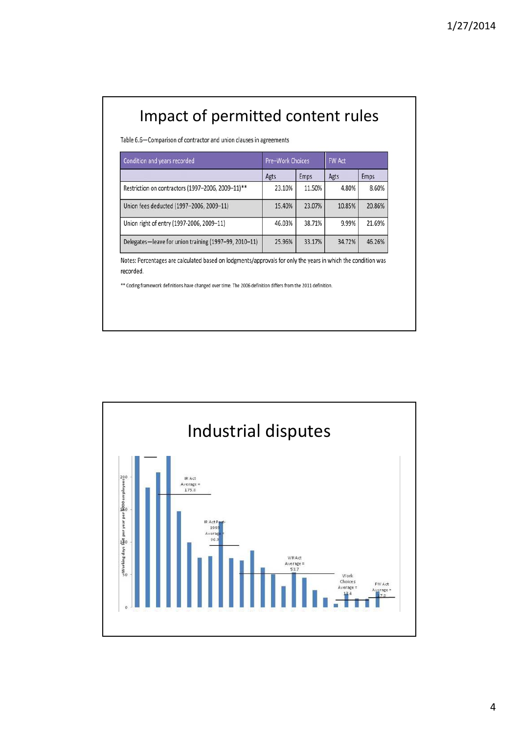# Impact of permitted content rules

Table 6.6-Comparison of contractor and union clauses in agreements

| Condition and years recorded                          | <b>Pre-Work Choices</b> |             | <b>FW Act</b> |             |
|-------------------------------------------------------|-------------------------|-------------|---------------|-------------|
|                                                       | Agts                    | <b>Emps</b> | Agts          | <b>Emps</b> |
| Restriction on contractors (1997-2006, 2009-11)**     | 23.10%                  | 11.50%      | 4.80%         | 8.60%       |
| Union fees deducted (1997-2006, 2009-11)              | 15.40%                  | 23.07%      | 10.85%        | 20.86%      |
| Union right of entry (1997-2006, 2009-11)             | 46.03%                  | 38.71%      | 9.99%         | 21.69%      |
| Delegates-leave for union training (1997-99, 2010-11) | 25.96%                  | 33.17%      | 34.72%        | 46.26%      |

Notes: Percentages are calculated based on lodgments/approvals for only the years in which the condition was recorded.

\*\* Coding framework definitions have changed over time. The 2006 definition differs from the 2011 definition.

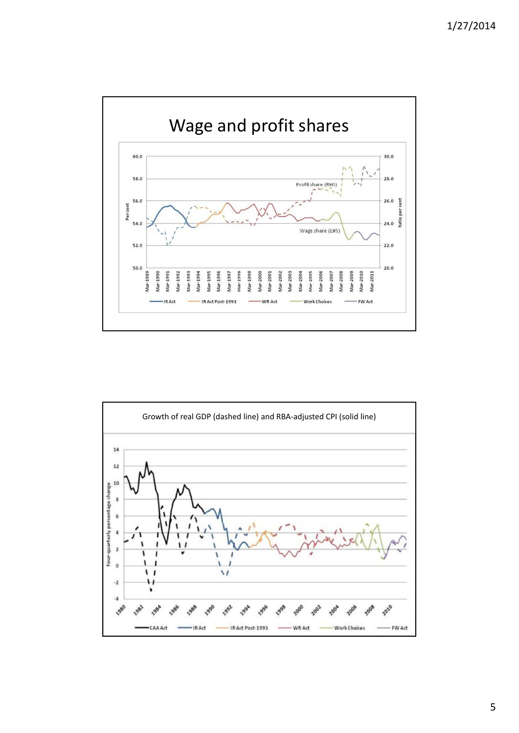

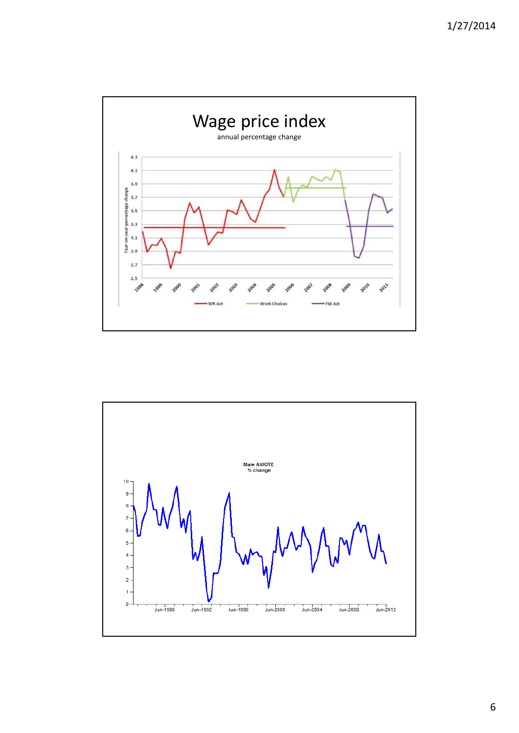



6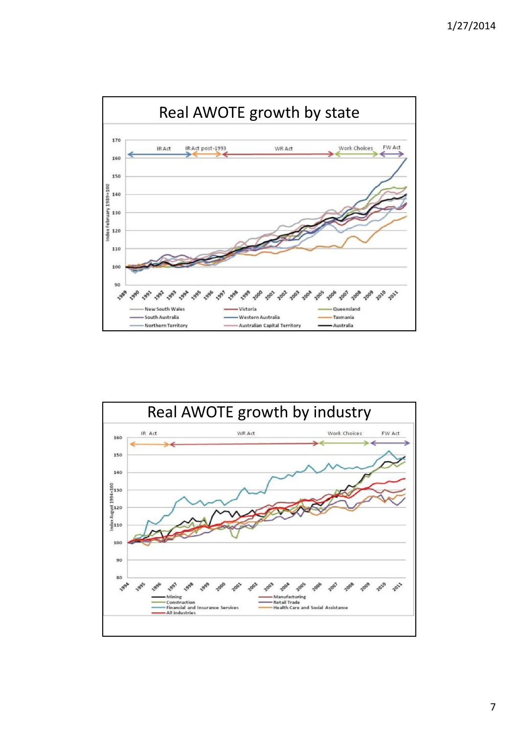

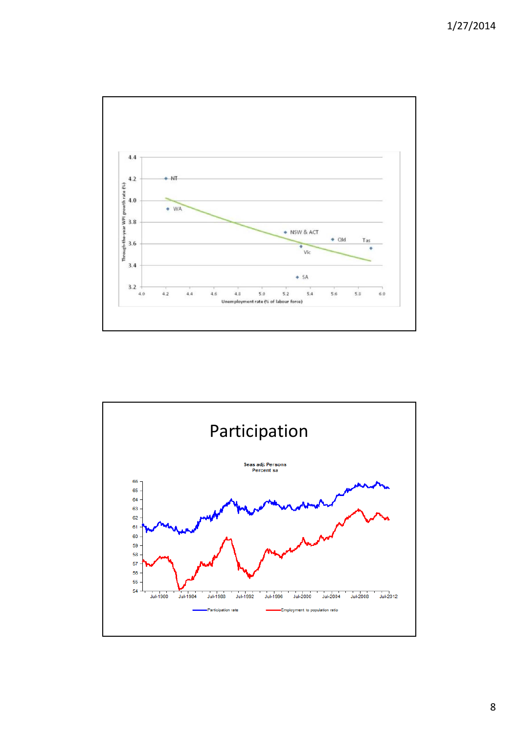1/27/2014





8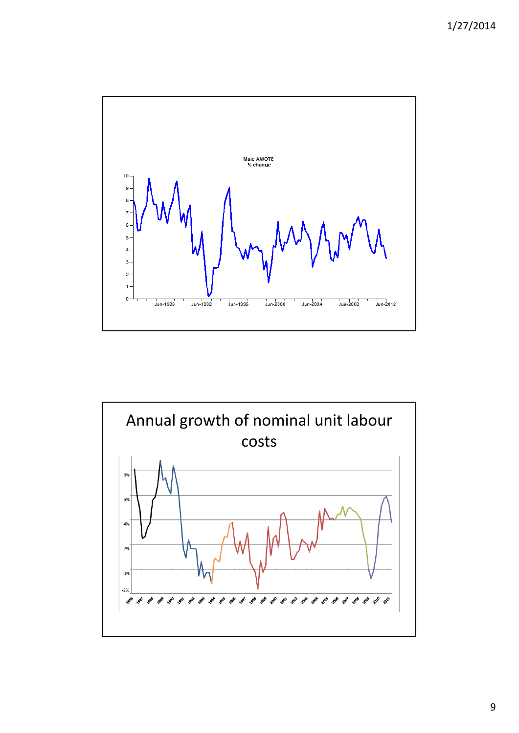1/27/2014



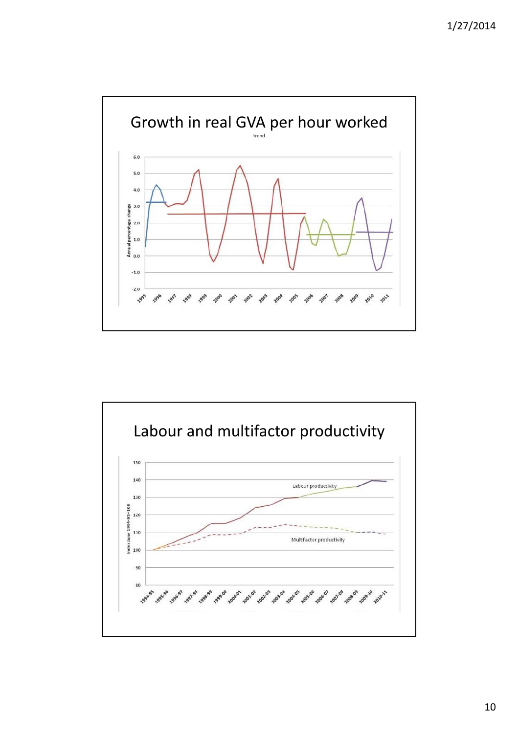

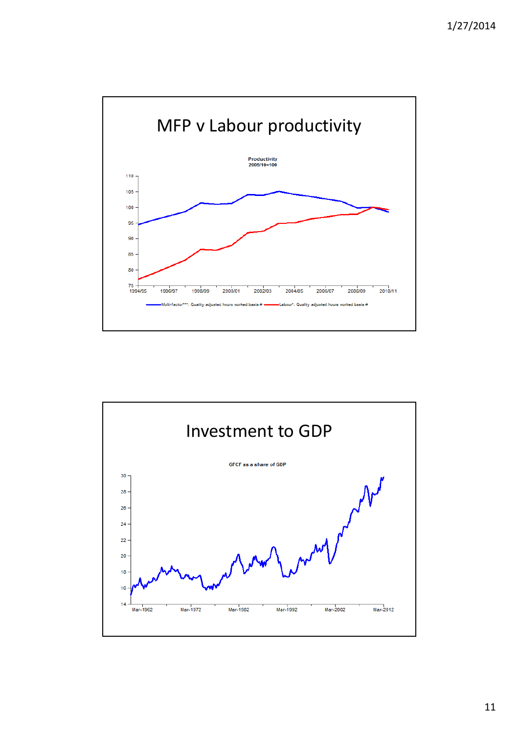

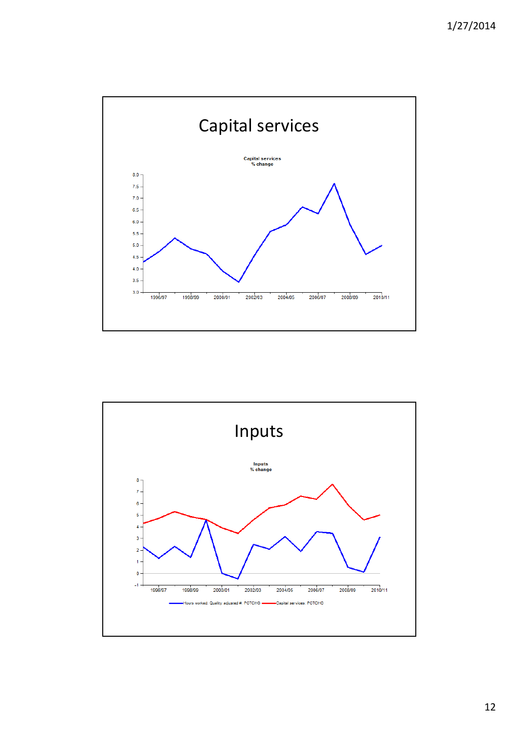



12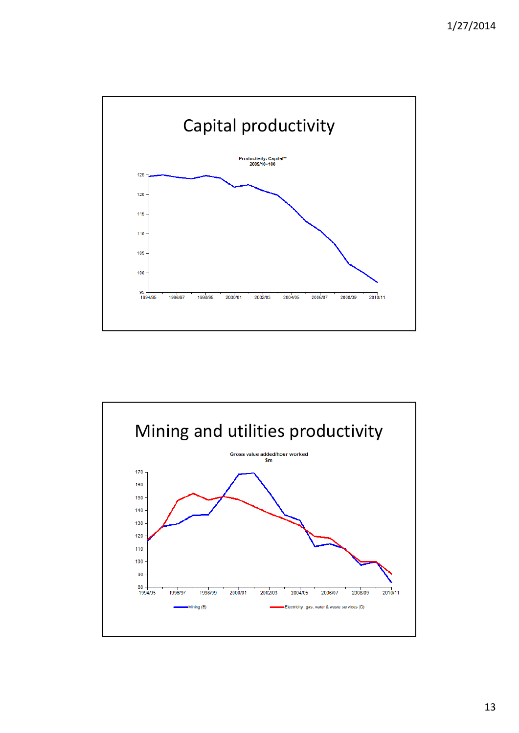

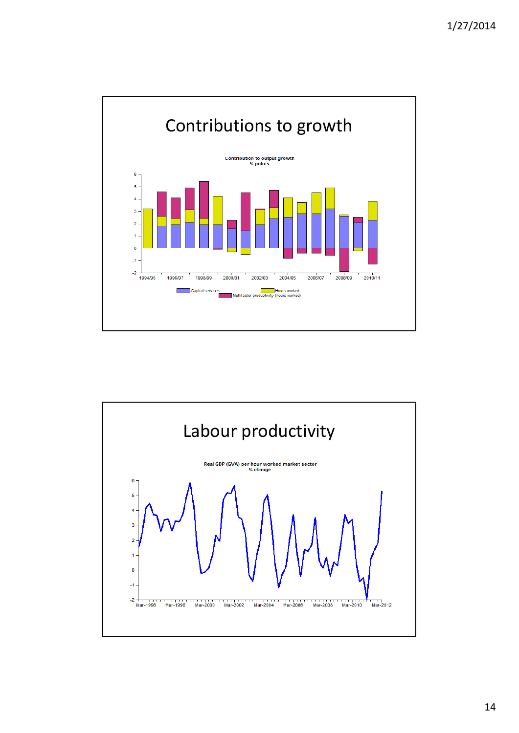

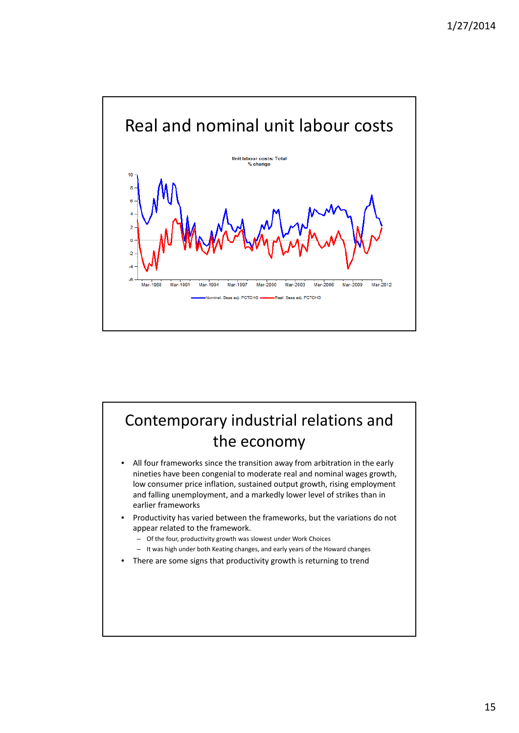

## Contemporary industrial relations and the economy

- All four frameworks since the transition away from arbitration in the early nineties have been congenial to moderate real and nominal wages growth, low consumer price inflation, sustained output growth, rising employment and falling unemployment, and a markedly lower level of strikes than in earlier frameworks
- Productivity has varied between the frameworks, but the variations do not appear related to the framework.
	- Of the four, productivity growth was slowest under Work Choices
	- It was high under both Keating changes, and early years of the Howard changes
- There are some signs that productivity growth is returning to trend